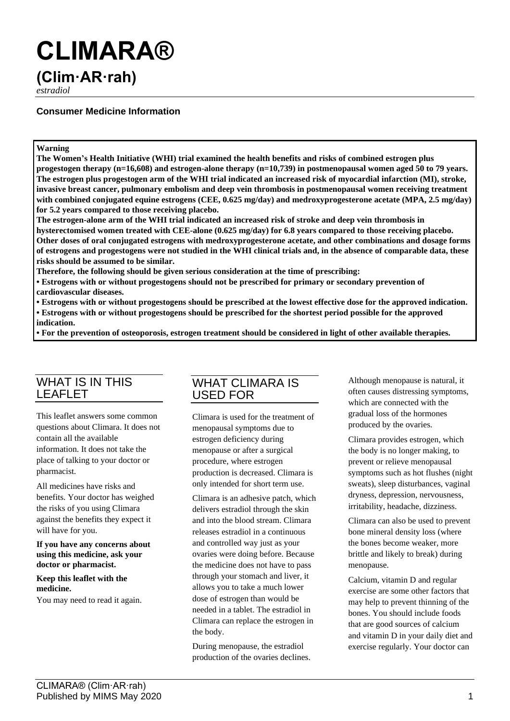# **CLIMARA®**

## **(Clim·AR·rah)**

*estradiol*

## **Consumer Medicine Information**

### **Warning**

**The Women's Health Initiative (WHI) trial examined the health benefits and risks of combined estrogen plus progestogen therapy (n=16,608) and estrogen-alone therapy (n=10,739) in postmenopausal women aged 50 to 79 years. The estrogen plus progestogen arm of the WHI trial indicated an increased risk of myocardial infarction (MI), stroke, invasive breast cancer, pulmonary embolism and deep vein thrombosis in postmenopausal women receiving treatment with combined conjugated equine estrogens (CEE, 0.625 mg/day) and medroxyprogesterone acetate (MPA, 2.5 mg/day) for 5.2 years compared to those receiving placebo.**

**The estrogen-alone arm of the WHI trial indicated an increased risk of stroke and deep vein thrombosis in hysterectomised women treated with CEE-alone (0.625 mg/day) for 6.8 years compared to those receiving placebo. Other doses of oral conjugated estrogens with medroxyprogesterone acetate, and other combinations and dosage forms of estrogens and progestogens were not studied in the WHI clinical trials and, in the absence of comparable data, these risks should be assumed to be similar.**

**Therefore, the following should be given serious consideration at the time of prescribing:**

**• Estrogens with or without progestogens should not be prescribed for primary or secondary prevention of cardiovascular diseases.**

**• Estrogens with or without progestogens should be prescribed at the lowest effective dose for the approved indication.**

**• Estrogens with or without progestogens should be prescribed for the shortest period possible for the approved indication.**

**• For the prevention of osteoporosis, estrogen treatment should be considered in light of other available therapies.**

## WHAT IS IN THIS LEAFLET

This leaflet answers some common questions about Climara. It does not contain all the available information. It does not take the place of talking to your doctor or pharmacist.

All medicines have risks and benefits. Your doctor has weighed the risks of you using Climara against the benefits they expect it will have for you.

**If you have any concerns about using this medicine, ask your doctor or pharmacist.**

**Keep this leaflet with the medicine.**

You may need to read it again.

## WHAT CLIMARA IS USED FOR

Climara is used for the treatment of menopausal symptoms due to estrogen deficiency during menopause or after a surgical procedure, where estrogen production is decreased. Climara is only intended for short term use.

Climara is an adhesive patch, which delivers estradiol through the skin and into the blood stream. Climara releases estradiol in a continuous and controlled way just as your ovaries were doing before. Because the medicine does not have to pass through your stomach and liver, it allows you to take a much lower dose of estrogen than would be needed in a tablet. The estradiol in Climara can replace the estrogen in the body.

During menopause, the estradiol production of the ovaries declines. Although menopause is natural, it often causes distressing symptoms, which are connected with the gradual loss of the hormones produced by the ovaries.

Climara provides estrogen, which the body is no longer making, to prevent or relieve menopausal symptoms such as hot flushes (night sweats), sleep disturbances, vaginal dryness, depression, nervousness, irritability, headache, dizziness.

Climara can also be used to prevent bone mineral density loss (where the bones become weaker, more brittle and likely to break) during menopause.

Calcium, vitamin D and regular exercise are some other factors that may help to prevent thinning of the bones. You should include foods that are good sources of calcium and vitamin D in your daily diet and exercise regularly. Your doctor can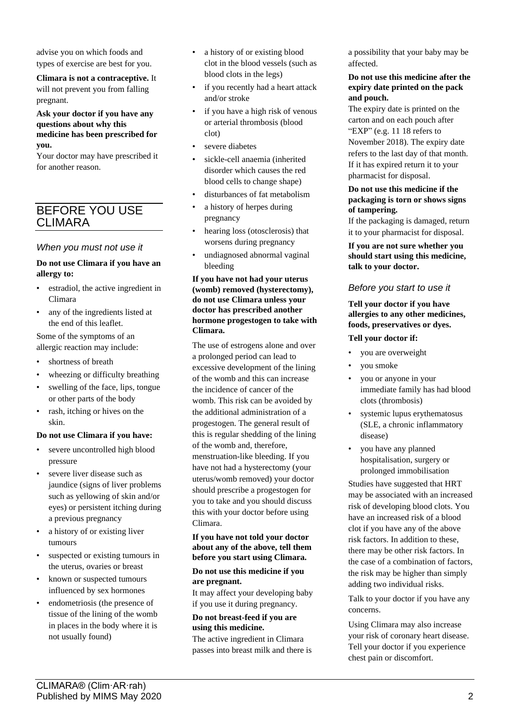advise you on which foods and types of exercise are best for you.

**Climara is not a contraceptive.** It will not prevent you from falling pregnant.

**Ask your doctor if you have any questions about why this medicine has been prescribed for you.**

Your doctor may have prescribed it for another reason.

## BEFORE YOU USE CLIMARA

## *When you must not use it*

#### **Do not use Climara if you have an allergy to:**

- estradiol, the active ingredient in Climara
- any of the ingredients listed at the end of this leaflet.

Some of the symptoms of an allergic reaction may include:

- shortness of breath
- wheezing or difficulty breathing
- swelling of the face, lips, tongue or other parts of the body
- rash, itching or hives on the skin.

#### **Do not use Climara if you have:**

- severe uncontrolled high blood pressure
- severe liver disease such as jaundice (signs of liver problems such as yellowing of skin and/or eyes) or persistent itching during a previous pregnancy
- a history of or existing liver tumours
- suspected or existing tumours in the uterus, ovaries or breast
- known or suspected tumours influenced by sex hormones
- endometriosis (the presence of tissue of the lining of the womb in places in the body where it is not usually found)
- a history of or existing blood clot in the blood vessels (such as blood clots in the legs)
- if you recently had a heart attack and/or stroke
- if you have a high risk of venous or arterial thrombosis (blood clot)
- severe diabetes
- sickle-cell anaemia (inherited disorder which causes the red blood cells to change shape)
- disturbances of fat metabolism
- a history of herpes during pregnancy
- hearing loss (otosclerosis) that worsens during pregnancy
- undiagnosed abnormal vaginal bleeding

#### **If you have not had your uterus (womb) removed (hysterectomy), do not use Climara unless your doctor has prescribed another hormone progestogen to take with Climara.**

The use of estrogens alone and over a prolonged period can lead to excessive development of the lining of the womb and this can increase the incidence of cancer of the womb. This risk can be avoided by the additional administration of a progestogen. The general result of this is regular shedding of the lining of the womb and, therefore, menstruation-like bleeding. If you have not had a hysterectomy (your uterus/womb removed) your doctor should prescribe a progestogen for you to take and you should discuss this with your doctor before using Climara.

#### **If you have not told your doctor about any of the above, tell them before you start using Climara.**

#### **Do not use this medicine if you are pregnant.**

It may affect your developing baby if you use it during pregnancy.

## **Do not breast-feed if you are using this medicine.**

The active ingredient in Climara passes into breast milk and there is a possibility that your baby may be affected.

#### **Do not use this medicine after the expiry date printed on the pack and pouch.**

The expiry date is printed on the carton and on each pouch after "EXP" (e.g. 11 18 refers to November 2018). The expiry date refers to the last day of that month. If it has expired return it to your pharmacist for disposal.

#### **Do not use this medicine if the packaging is torn or shows signs of tampering.**

If the packaging is damaged, return it to your pharmacist for disposal.

**If you are not sure whether you should start using this medicine, talk to your doctor.**

## *Before you start to use it*

#### **Tell your doctor if you have allergies to any other medicines, foods, preservatives or dyes.**

#### **Tell your doctor if:**

- you are overweight
- you smoke
- you or anyone in your immediate family has had blood clots (thrombosis)
- systemic lupus erythematosus (SLE, a chronic inflammatory disease)
- you have any planned hospitalisation, surgery or prolonged immobilisation

Studies have suggested that HRT may be associated with an increased risk of developing blood clots. You have an increased risk of a blood clot if you have any of the above risk factors. In addition to these, there may be other risk factors. In the case of a combination of factors, the risk may be higher than simply adding two individual risks.

Talk to your doctor if you have any concerns.

Using Climara may also increase your risk of coronary heart disease. Tell your doctor if you experience chest pain or discomfort.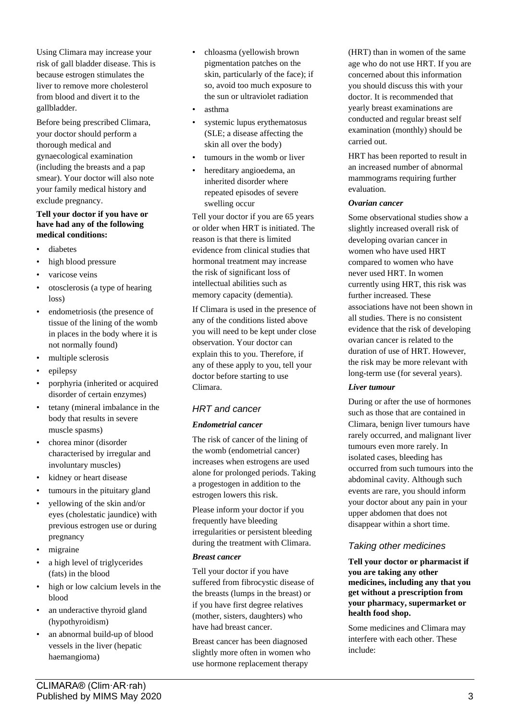Using Climara may increase your risk of gall bladder disease. This is because estrogen stimulates the liver to remove more cholesterol from blood and divert it to the gallbladder.

Before being prescribed Climara, your doctor should perform a thorough medical and gynaecological examination (including the breasts and a pap smear). Your doctor will also note your family medical history and exclude pregnancy.

#### **Tell your doctor if you have or have had any of the following medical conditions:**

- diabetes
- high blood pressure
- varicose veins
- otosclerosis (a type of hearing loss)
- endometriosis (the presence of tissue of the lining of the womb in places in the body where it is not normally found)
- multiple sclerosis
- epilepsy
- porphyria (inherited or acquired disorder of certain enzymes)
- tetany (mineral imbalance in the body that results in severe muscle spasms)
- chorea minor (disorder characterised by irregular and involuntary muscles)
- kidney or heart disease
- tumours in the pituitary gland
- yellowing of the skin and/or eyes (cholestatic jaundice) with previous estrogen use or during pregnancy
- migraine
- a high level of triglycerides (fats) in the blood
- high or low calcium levels in the blood
- an underactive thyroid gland (hypothyroidism)
- an abnormal build-up of blood vessels in the liver (hepatic haemangioma)
- chloasma (yellowish brown pigmentation patches on the skin, particularly of the face); if so, avoid too much exposure to the sun or ultraviolet radiation
- asthma
- systemic lupus erythematosus (SLE; a disease affecting the skin all over the body)
- tumours in the womb or liver
- hereditary angioedema, an inherited disorder where repeated episodes of severe swelling occur

Tell your doctor if you are 65 years or older when HRT is initiated. The reason is that there is limited evidence from clinical studies that hormonal treatment may increase the risk of significant loss of intellectual abilities such as memory capacity (dementia).

If Climara is used in the presence of any of the conditions listed above you will need to be kept under close observation. Your doctor can explain this to you. Therefore, if any of these apply to you, tell your doctor before starting to use Climara.

## *HRT and cancer*

## *Endometrial cancer*

The risk of cancer of the lining of the womb (endometrial cancer) increases when estrogens are used alone for prolonged periods. Taking a progestogen in addition to the estrogen lowers this risk.

Please inform your doctor if you frequently have bleeding irregularities or persistent bleeding during the treatment with Climara.

#### *Breast cancer*

Tell your doctor if you have suffered from fibrocystic disease of the breasts (lumps in the breast) or if you have first degree relatives (mother, sisters, daughters) who have had breast cancer.

Breast cancer has been diagnosed slightly more often in women who use hormone replacement therapy

(HRT) than in women of the same age who do not use HRT. If you are concerned about this information you should discuss this with your doctor. It is recommended that yearly breast examinations are conducted and regular breast self examination (monthly) should be carried out.

HRT has been reported to result in an increased number of abnormal mammograms requiring further evaluation.

## *Ovarian cancer*

Some observational studies show a slightly increased overall risk of developing ovarian cancer in women who have used HRT compared to women who have never used HRT. In women currently using HRT, this risk was further increased. These associations have not been shown in all studies. There is no consistent evidence that the risk of developing ovarian cancer is related to the duration of use of HRT. However, the risk may be more relevant with long-term use (for several years).

#### *Liver tumour*

During or after the use of hormones such as those that are contained in Climara, benign liver tumours have rarely occurred, and malignant liver tumours even more rarely. In isolated cases, bleeding has occurred from such tumours into the abdominal cavity. Although such events are rare, you should inform your doctor about any pain in your upper abdomen that does not disappear within a short time.

## *Taking other medicines*

**Tell your doctor or pharmacist if you are taking any other medicines, including any that you get without a prescription from your pharmacy, supermarket or health food shop.**

Some medicines and Climara may interfere with each other. These include: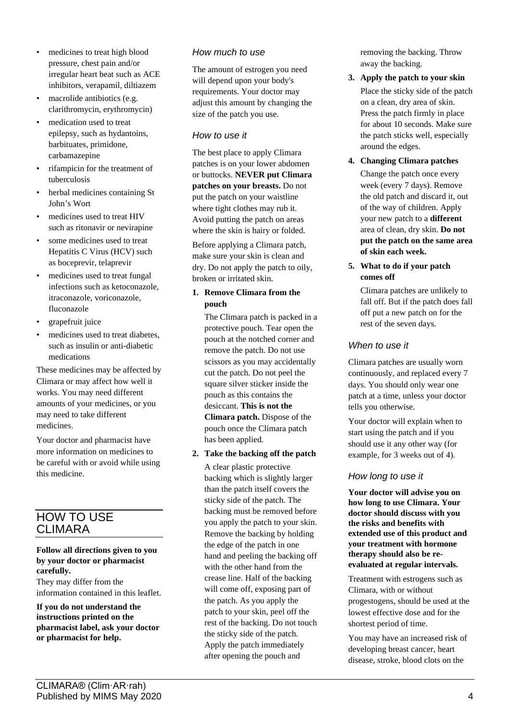- medicines to treat high blood pressure, chest pain and/or irregular heart beat such as ACE inhibitors, verapamil, diltiazem
- macrolide antibiotics (e.g. clarithromycin, erythromycin)
- medication used to treat epilepsy, such as hydantoins, barbituates, primidone, carbamazepine
- rifampicin for the treatment of tuberculosis
- herbal medicines containing St John's Wort
- medicines used to treat HIV such as ritonavir or nevirapine
- some medicines used to treat Hepatitis C Virus (HCV) such as boceprevir, telaprevir
- medicines used to treat fungal infections such as ketoconazole, itraconazole, voriconazole, fluconazole
- grapefruit juice
- medicines used to treat diabetes. such as insulin or anti-diabetic medications

These medicines may be affected by Climara or may affect how well it works. You may need different amounts of your medicines, or you may need to take different medicines.

Your doctor and pharmacist have more information on medicines to be careful with or avoid while using this medicine.

## HOW TO USE CLIMARA

### **Follow all directions given to you by your doctor or pharmacist carefully.**

They may differ from the information contained in this leaflet.

**If you do not understand the instructions printed on the pharmacist label, ask your doctor or pharmacist for help.**

## *How much to use*

The amount of estrogen you need will depend upon your body's requirements. Your doctor may adjust this amount by changing the size of the patch you use.

## *How to use it*

The best place to apply Climara patches is on your lower abdomen or buttocks. **NEVER put Climara patches on your breasts.** Do not put the patch on your waistline where tight clothes may rub it. Avoid putting the patch on areas where the skin is hairy or folded.

Before applying a Climara patch, make sure your skin is clean and dry. Do not apply the patch to oily, broken or irritated skin.

## **1. Remove Climara from the pouch**

The Climara patch is packed in a protective pouch. Tear open the pouch at the notched corner and remove the patch. Do not use scissors as you may accidentally cut the patch. Do not peel the square silver sticker inside the pouch as this contains the desiccant. **This is not the Climara patch.** Dispose of the pouch once the Climara patch has been applied.

## **2. Take the backing off the patch**

A clear plastic protective backing which is slightly larger than the patch itself covers the sticky side of the patch. The backing must be removed before you apply the patch to your skin. Remove the backing by holding the edge of the patch in one hand and peeling the backing off with the other hand from the crease line. Half of the backing will come off, exposing part of the patch. As you apply the patch to your skin, peel off the rest of the backing. Do not touch the sticky side of the patch. Apply the patch immediately after opening the pouch and

removing the backing. Throw away the backing.

- **3. Apply the patch to your skin** Place the sticky side of the patch on a clean, dry area of skin. Press the patch firmly in place for about 10 seconds. Make sure the patch sticks well, especially around the edges.
- **4. Changing Climara patches** Change the patch once every week (every 7 days). Remove the old patch and discard it, out of the way of children. Apply your new patch to a **different** area of clean, dry skin. **Do not put the patch on the same area of skin each week.**
- **5. What to do if your patch comes off**

Climara patches are unlikely to fall off. But if the patch does fall off put a new patch on for the rest of the seven days.

## *When to use it*

Climara patches are usually worn continuously, and replaced every 7 days. You should only wear one patch at a time, unless your doctor tells you otherwise.

Your doctor will explain when to start using the patch and if you should use it any other way (for example, for 3 weeks out of 4).

## *How long to use it*

**Your doctor will advise you on how long to use Climara. Your doctor should discuss with you the risks and benefits with extended use of this product and your treatment with hormone therapy should also be reevaluated at regular intervals.**

Treatment with estrogens such as Climara, with or without progestogens, should be used at the lowest effective dose and for the shortest period of time.

You may have an increased risk of developing breast cancer, heart disease, stroke, blood clots on the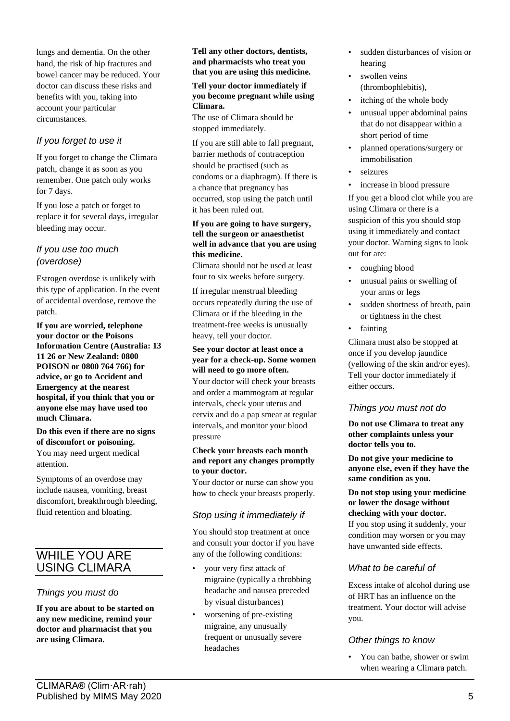lungs and dementia. On the other hand, the risk of hip fractures and bowel cancer may be reduced. Your doctor can discuss these risks and benefits with you, taking into account your particular circumstances.

## *If you forget to use it*

If you forget to change the Climara patch, change it as soon as you remember. One patch only works for 7 days.

If you lose a patch or forget to replace it for several days, irregular bleeding may occur.

## *If you use too much (overdose)*

Estrogen overdose is unlikely with this type of application. In the event of accidental overdose, remove the patch.

**If you are worried, telephone your doctor or the Poisons Information Centre (Australia: 13 11 26 or New Zealand: 0800 POISON or 0800 764 766) for advice, or go to Accident and Emergency at the nearest hospital, if you think that you or anyone else may have used too much Climara.**

#### **Do this even if there are no signs of discomfort or poisoning.** You may need urgent medical attention.

Symptoms of an overdose may include nausea, vomiting, breast discomfort, breakthrough bleeding, fluid retention and bloating.

## WHILE YOU ARE USING CLIMARA

## *Things you must do*

**If you are about to be started on any new medicine, remind your doctor and pharmacist that you are using Climara.**

#### **Tell any other doctors, dentists, and pharmacists who treat you that you are using this medicine.**

#### **Tell your doctor immediately if you become pregnant while using Climara.**

The use of Climara should be stopped immediately.

If you are still able to fall pregnant, barrier methods of contraception should be practised (such as condoms or a diaphragm). If there is a chance that pregnancy has occurred, stop using the patch until it has been ruled out.

#### **If you are going to have surgery, tell the surgeon or anaesthetist well in advance that you are using this medicine.**

Climara should not be used at least four to six weeks before surgery.

If irregular menstrual bleeding occurs repeatedly during the use of Climara or if the bleeding in the treatment-free weeks is unusually heavy, tell your doctor.

#### **See your doctor at least once a year for a check-up. Some women will need to go more often.**

Your doctor will check your breasts and order a mammogram at regular intervals, check your uterus and cervix and do a pap smear at regular intervals, and monitor your blood pressure

#### **Check your breasts each month and report any changes promptly to your doctor.**

Your doctor or nurse can show you how to check your breasts properly.

## *Stop using it immediately if*

You should stop treatment at once and consult your doctor if you have any of the following conditions:

- your very first attack of migraine (typically a throbbing headache and nausea preceded by visual disturbances)
- worsening of pre-existing migraine, any unusually frequent or unusually severe headaches
- sudden disturbances of vision or hearing
- swollen veins (thrombophlebitis),
- itching of the whole body
- unusual upper abdominal pains that do not disappear within a short period of time
- planned operations/surgery or immobilisation
- seizures
- increase in blood pressure

If you get a blood clot while you are using Climara or there is a suspicion of this you should stop using it immediately and contact your doctor. Warning signs to look out for are:

- coughing blood
- unusual pains or swelling of your arms or legs
- sudden shortness of breath, pain or tightness in the chest
- fainting

Climara must also be stopped at once if you develop jaundice (yellowing of the skin and/or eyes). Tell your doctor immediately if either occurs.

## *Things you must not do*

**Do not use Climara to treat any other complaints unless your doctor tells you to.**

**Do not give your medicine to anyone else, even if they have the same condition as you.**

### **Do not stop using your medicine or lower the dosage without checking with your doctor.**

If you stop using it suddenly, your condition may worsen or you may have unwanted side effects.

## *What to be careful of*

Excess intake of alcohol during use of HRT has an influence on the treatment. Your doctor will advise you.

## *Other things to know*

• You can bathe, shower or swim when wearing a Climara patch.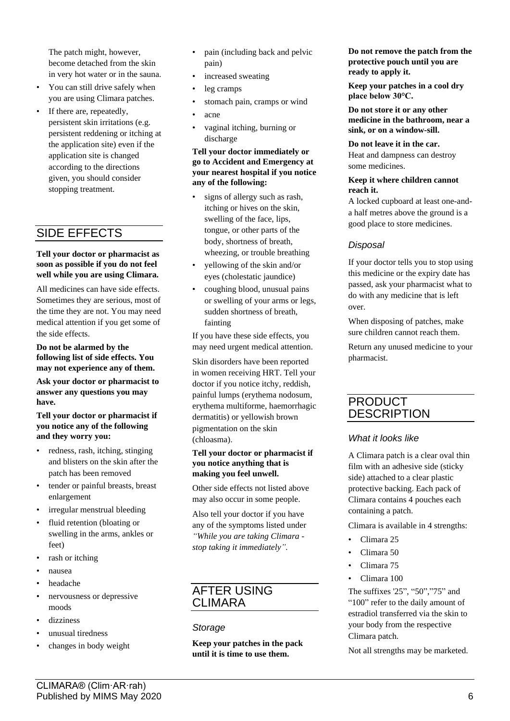The patch might, however, become detached from the skin in very hot water or in the sauna.

- You can still drive safely when you are using Climara patches.
- If there are, repeatedly, persistent skin irritations (e.g. persistent reddening or itching at the application site) even if the application site is changed according to the directions given, you should consider stopping treatment.

## SIDE EFFECTS

#### **Tell your doctor or pharmacist as soon as possible if you do not feel well while you are using Climara.**

All medicines can have side effects. Sometimes they are serious, most of the time they are not. You may need medical attention if you get some of the side effects.

#### **Do not be alarmed by the following list of side effects. You may not experience any of them.**

**Ask your doctor or pharmacist to answer any questions you may have.**

#### **Tell your doctor or pharmacist if you notice any of the following and they worry you:**

- redness, rash, itching, stinging and blisters on the skin after the patch has been removed
- tender or painful breasts, breast enlargement
- irregular menstrual bleeding
- fluid retention (bloating or swelling in the arms, ankles or feet)
- rash or itching
- nausea
- headache
- nervousness or depressive moods
- dizziness
- unusual tiredness
- changes in body weight
- pain (including back and pelvic pain)
- increased sweating
- leg cramps
- stomach pain, cramps or wind
- acne
- vaginal itching, burning or discharge

#### **Tell your doctor immediately or go to Accident and Emergency at your nearest hospital if you notice any of the following:**

- signs of allergy such as rash, itching or hives on the skin, swelling of the face, lips, tongue, or other parts of the body, shortness of breath, wheezing, or trouble breathing
- yellowing of the skin and/or eyes (cholestatic jaundice)
- coughing blood, unusual pains or swelling of your arms or legs, sudden shortness of breath, fainting

If you have these side effects, you may need urgent medical attention.

Skin disorders have been reported in women receiving HRT. Tell your doctor if you notice itchy, reddish, painful lumps (erythema nodosum, erythema multiforme, haemorrhagic dermatitis) or yellowish brown pigmentation on the skin (chloasma).

#### **Tell your doctor or pharmacist if you notice anything that is making you feel unwell.**

Other side effects not listed above may also occur in some people.

Also tell your doctor if you have any of the symptoms listed under *"While you are taking Climara stop taking it immediately".*

## AFTER USING CLIMARA

## *Storage*

**Keep your patches in the pack until it is time to use them.**

**Do not remove the patch from the protective pouch until you are ready to apply it.**

**Keep your patches in a cool dry place below 30°C.**

**Do not store it or any other medicine in the bathroom, near a sink, or on a window-sill.**

**Do not leave it in the car.** Heat and dampness can destroy some medicines.

#### **Keep it where children cannot reach it.**

A locked cupboard at least one-anda half metres above the ground is a good place to store medicines.

## *Disposal*

If your doctor tells you to stop using this medicine or the expiry date has passed, ask your pharmacist what to do with any medicine that is left over.

When disposing of patches, make sure children cannot reach them.

Return any unused medicine to your pharmacist.

## PRODUCT **DESCRIPTION**

## *What it looks like*

A Climara patch is a clear oval thin film with an adhesive side (sticky side) attached to a clear plastic protective backing. Each pack of Climara contains 4 pouches each containing a patch.

Climara is available in 4 strengths:

- Climara 25
- Climara 50
- Climara 75
- Climara 100

The suffixes '25", "50","75" and "100" refer to the daily amount of estradiol transferred via the skin to your body from the respective Climara patch.

Not all strengths may be marketed.